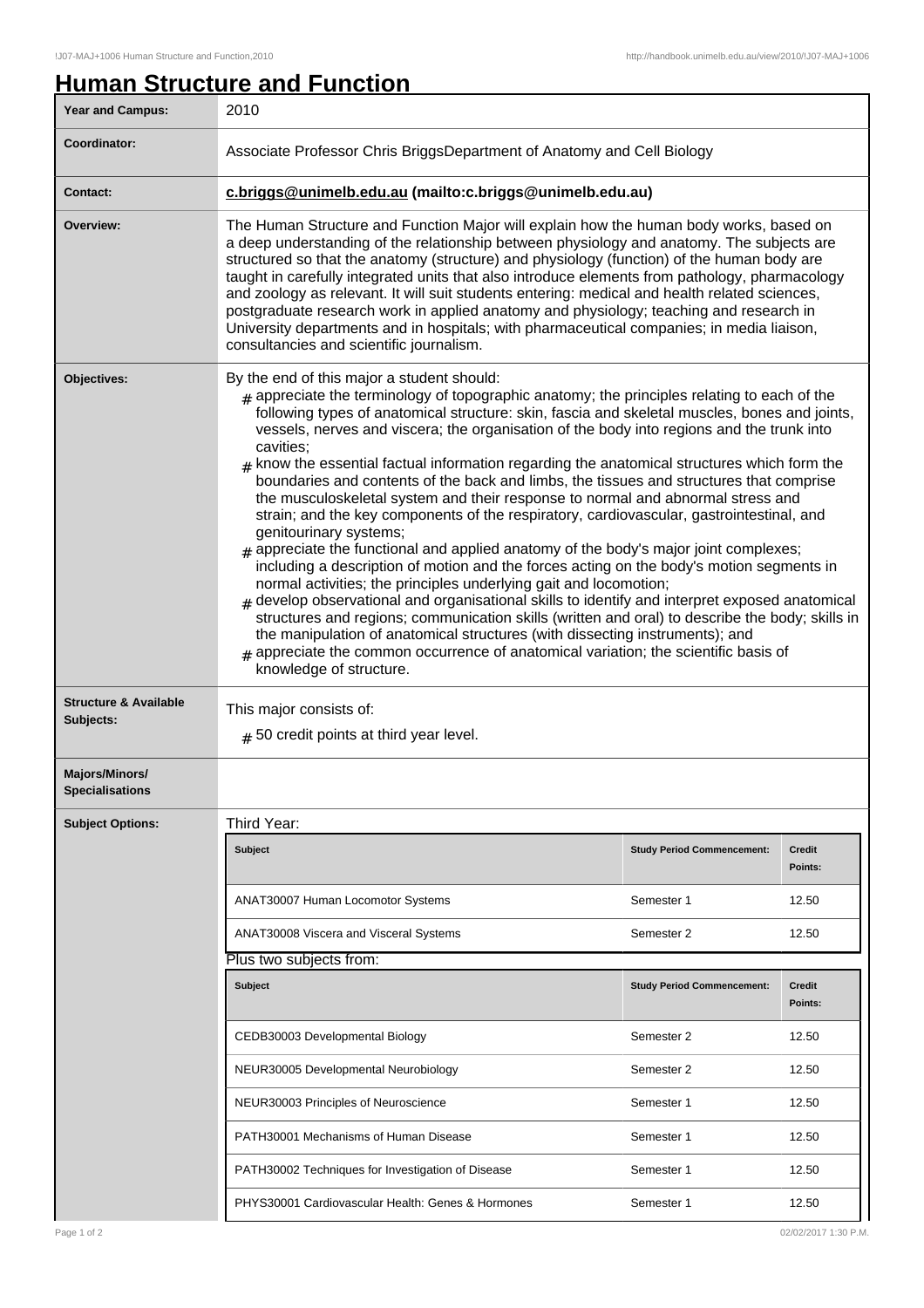## **Human Structure and Function**

| <b>Year and Campus:</b>                       | 2010                                                                                                                                                                                                                                                                                                                                                                                                                                                                                                                                                                                                                                                                                                                                                                                                                                                                                                                                                                                                                                                                                                                                                                                                                                                                                                                                                                                                                                      |                                   |                          |  |
|-----------------------------------------------|-------------------------------------------------------------------------------------------------------------------------------------------------------------------------------------------------------------------------------------------------------------------------------------------------------------------------------------------------------------------------------------------------------------------------------------------------------------------------------------------------------------------------------------------------------------------------------------------------------------------------------------------------------------------------------------------------------------------------------------------------------------------------------------------------------------------------------------------------------------------------------------------------------------------------------------------------------------------------------------------------------------------------------------------------------------------------------------------------------------------------------------------------------------------------------------------------------------------------------------------------------------------------------------------------------------------------------------------------------------------------------------------------------------------------------------------|-----------------------------------|--------------------------|--|
| Coordinator:                                  | Associate Professor Chris BriggsDepartment of Anatomy and Cell Biology                                                                                                                                                                                                                                                                                                                                                                                                                                                                                                                                                                                                                                                                                                                                                                                                                                                                                                                                                                                                                                                                                                                                                                                                                                                                                                                                                                    |                                   |                          |  |
| <b>Contact:</b>                               | c.briggs@unimelb.edu.au (mailto:c.briggs@unimelb.edu.au)                                                                                                                                                                                                                                                                                                                                                                                                                                                                                                                                                                                                                                                                                                                                                                                                                                                                                                                                                                                                                                                                                                                                                                                                                                                                                                                                                                                  |                                   |                          |  |
| Overview:                                     | The Human Structure and Function Major will explain how the human body works, based on<br>a deep understanding of the relationship between physiology and anatomy. The subjects are<br>structured so that the anatomy (structure) and physiology (function) of the human body are<br>taught in carefully integrated units that also introduce elements from pathology, pharmacology<br>and zoology as relevant. It will suit students entering: medical and health related sciences,<br>postgraduate research work in applied anatomy and physiology; teaching and research in<br>University departments and in hospitals; with pharmaceutical companies; in media liaison,<br>consultancies and scientific journalism.                                                                                                                                                                                                                                                                                                                                                                                                                                                                                                                                                                                                                                                                                                                   |                                   |                          |  |
| Objectives:                                   | By the end of this major a student should:<br>$_{\#}$ appreciate the terminology of topographic anatomy; the principles relating to each of the<br>following types of anatomical structure: skin, fascia and skeletal muscles, bones and joints,<br>vessels, nerves and viscera; the organisation of the body into regions and the trunk into<br>cavities;<br>know the essential factual information regarding the anatomical structures which form the<br>#<br>boundaries and contents of the back and limbs, the tissues and structures that comprise<br>the musculoskeletal system and their response to normal and abnormal stress and<br>strain; and the key components of the respiratory, cardiovascular, gastrointestinal, and<br>genitourinary systems;<br>$_{\text{\#}}$ appreciate the functional and applied anatomy of the body's major joint complexes;<br>including a description of motion and the forces acting on the body's motion segments in<br>normal activities; the principles underlying gait and locomotion;<br>develop observational and organisational skills to identify and interpret exposed anatomical<br>structures and regions; communication skills (written and oral) to describe the body; skills in<br>the manipulation of anatomical structures (with dissecting instruments); and<br>appreciate the common occurrence of anatomical variation; the scientific basis of<br>knowledge of structure. |                                   |                          |  |
| <b>Structure &amp; Available</b><br>Subjects: | This major consists of:<br>$#$ 50 credit points at third year level.                                                                                                                                                                                                                                                                                                                                                                                                                                                                                                                                                                                                                                                                                                                                                                                                                                                                                                                                                                                                                                                                                                                                                                                                                                                                                                                                                                      |                                   |                          |  |
| Majors/Minors/<br><b>Specialisations</b>      |                                                                                                                                                                                                                                                                                                                                                                                                                                                                                                                                                                                                                                                                                                                                                                                                                                                                                                                                                                                                                                                                                                                                                                                                                                                                                                                                                                                                                                           |                                   |                          |  |
| <b>Subject Options:</b>                       | Third Year:                                                                                                                                                                                                                                                                                                                                                                                                                                                                                                                                                                                                                                                                                                                                                                                                                                                                                                                                                                                                                                                                                                                                                                                                                                                                                                                                                                                                                               |                                   |                          |  |
|                                               | <b>Subject</b>                                                                                                                                                                                                                                                                                                                                                                                                                                                                                                                                                                                                                                                                                                                                                                                                                                                                                                                                                                                                                                                                                                                                                                                                                                                                                                                                                                                                                            | <b>Study Period Commencement:</b> | Credit<br>Points:        |  |
|                                               | ANAT30007 Human Locomotor Systems                                                                                                                                                                                                                                                                                                                                                                                                                                                                                                                                                                                                                                                                                                                                                                                                                                                                                                                                                                                                                                                                                                                                                                                                                                                                                                                                                                                                         | Semester 1                        | 12.50                    |  |
|                                               | ANAT30008 Viscera and Visceral Systems                                                                                                                                                                                                                                                                                                                                                                                                                                                                                                                                                                                                                                                                                                                                                                                                                                                                                                                                                                                                                                                                                                                                                                                                                                                                                                                                                                                                    | Semester 2                        | 12.50                    |  |
|                                               | Plus two subjects from:                                                                                                                                                                                                                                                                                                                                                                                                                                                                                                                                                                                                                                                                                                                                                                                                                                                                                                                                                                                                                                                                                                                                                                                                                                                                                                                                                                                                                   |                                   |                          |  |
|                                               | Subject                                                                                                                                                                                                                                                                                                                                                                                                                                                                                                                                                                                                                                                                                                                                                                                                                                                                                                                                                                                                                                                                                                                                                                                                                                                                                                                                                                                                                                   | <b>Study Period Commencement:</b> | <b>Credit</b><br>Points: |  |
|                                               | CEDB30003 Developmental Biology                                                                                                                                                                                                                                                                                                                                                                                                                                                                                                                                                                                                                                                                                                                                                                                                                                                                                                                                                                                                                                                                                                                                                                                                                                                                                                                                                                                                           | Semester 2                        | 12.50                    |  |
|                                               | NEUR30005 Developmental Neurobiology                                                                                                                                                                                                                                                                                                                                                                                                                                                                                                                                                                                                                                                                                                                                                                                                                                                                                                                                                                                                                                                                                                                                                                                                                                                                                                                                                                                                      | Semester 2                        | 12.50                    |  |
|                                               | NEUR30003 Principles of Neuroscience                                                                                                                                                                                                                                                                                                                                                                                                                                                                                                                                                                                                                                                                                                                                                                                                                                                                                                                                                                                                                                                                                                                                                                                                                                                                                                                                                                                                      | Semester 1                        | 12.50                    |  |
|                                               | PATH30001 Mechanisms of Human Disease                                                                                                                                                                                                                                                                                                                                                                                                                                                                                                                                                                                                                                                                                                                                                                                                                                                                                                                                                                                                                                                                                                                                                                                                                                                                                                                                                                                                     | Semester 1                        | 12.50                    |  |
|                                               | PATH30002 Techniques for Investigation of Disease                                                                                                                                                                                                                                                                                                                                                                                                                                                                                                                                                                                                                                                                                                                                                                                                                                                                                                                                                                                                                                                                                                                                                                                                                                                                                                                                                                                         | Semester 1                        | 12.50                    |  |
|                                               | PHYS30001 Cardiovascular Health: Genes & Hormones                                                                                                                                                                                                                                                                                                                                                                                                                                                                                                                                                                                                                                                                                                                                                                                                                                                                                                                                                                                                                                                                                                                                                                                                                                                                                                                                                                                         | Semester 1                        | 12.50                    |  |